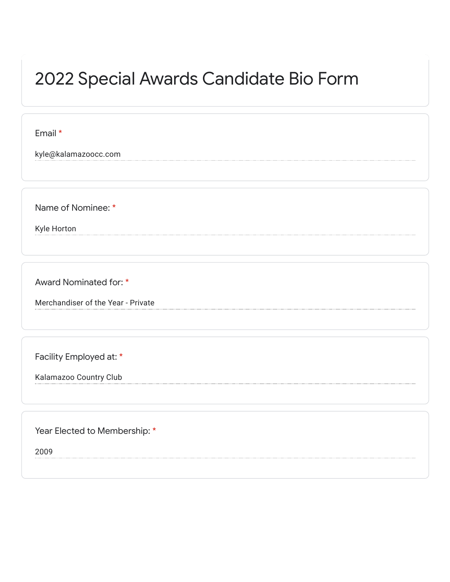## 2022 Special Awards Candidate Bio Form

Email \*

kyle@kalamazoocc.com

Name of Nominee: \*

Kyle Horton

Award Nominated for: \*

Merchandiser of the Year - Private

Facility Employed at: \*

Kalamazoo Country Club

Year Elected to Membership: \*

2009